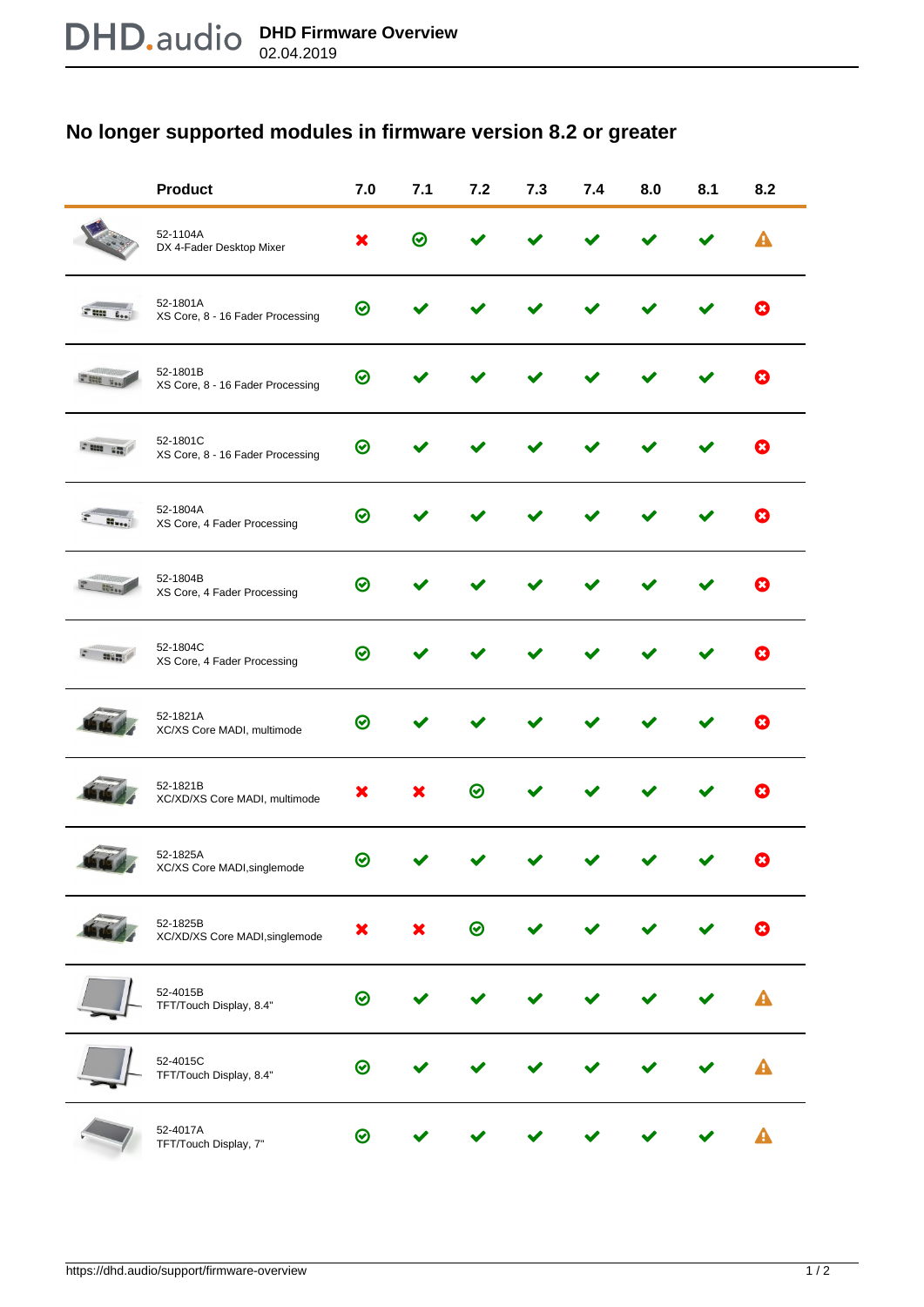## **No longer supported modules in firmware version 8.2 or greater**

|                 | <b>Product</b>                               | 7.0          | 7.1 | 7.2     | 7.3 | 7.4 | 8.0 | 8.1 | 8.2         |
|-----------------|----------------------------------------------|--------------|-----|---------|-----|-----|-----|-----|-------------|
|                 | 52-1104A<br>DX 4-Fader Desktop Mixer         | х            | の   |         |     |     |     |     |             |
|                 | 52-1801A<br>XS Core, 8 - 16 Fader Processing | $\bm{\odot}$ |     |         |     |     |     |     |             |
|                 | 52-1801B<br>XS Core, 8 - 16 Fader Processing | ⊙            |     |         |     |     |     |     |             |
| <b>Freez</b> am | 52-1801C<br>XS Core, 8 - 16 Fader Processing | $\odot$      |     |         |     |     |     |     |             |
|                 | 52-1804A<br>XS Core, 4 Fader Processing      | $\odot$      |     |         |     |     |     |     | ю           |
|                 | 52-1804B<br>XS Core, 4 Fader Processing      | ∞            |     |         |     |     |     |     |             |
|                 | 52-1804C<br>XS Core, 4 Fader Processing      | $\odot$      |     |         |     |     |     |     |             |
|                 | 52-1821A<br>XC/XS Core MADI, multimode       | $\odot$      |     |         |     |     |     |     |             |
|                 | 52-1821B<br>XC/XD/XS Core MADI, multimode    | ж            |     | $\odot$ |     |     |     |     |             |
|                 | 52-1825A<br>XC/XS Core MADI, singlemode      | ∞            |     |         |     |     |     |     |             |
|                 | 52-1825B<br>XC/XD/XS Core MADI, singlemode   | ×            | x   | $\odot$ |     |     |     |     | $\mathbf x$ |
|                 | 52-4015B<br>TFT/Touch Display, 8.4"          | $\odot$      |     |         |     |     |     |     |             |
|                 | 52-4015C<br>TFT/Touch Display, 8.4"          | $\odot$      |     |         |     |     |     |     |             |
|                 | 52-4017A<br>TFT/Touch Display, 7"            | ⊗            |     |         |     |     |     |     |             |